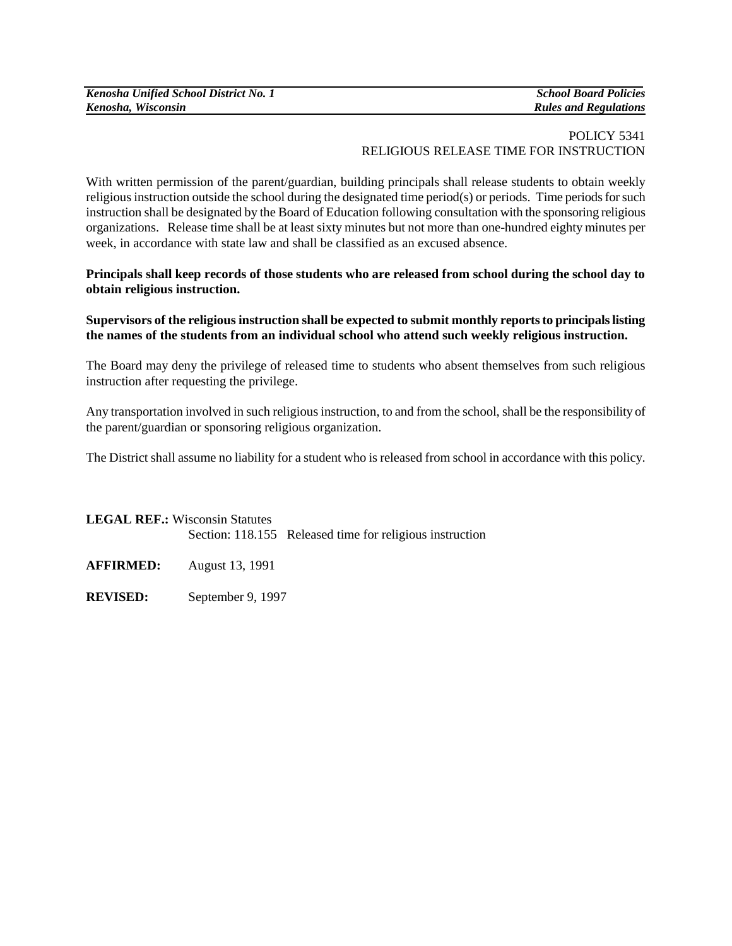## POLICY 5341 RELIGIOUS RELEASE TIME FOR INSTRUCTION

With written permission of the parent/guardian, building principals shall release students to obtain weekly religious instruction outside the school during the designated time period(s) or periods. Time periods for such instruction shall be designated by the Board of Education following consultation with the sponsoring religious organizations. Release time shall be at least sixty minutes but not more than one-hundred eighty minutes per week, in accordance with state law and shall be classified as an excused absence.

**Principals shall keep records of those students who are released from school during the school day to obtain religious instruction.** 

## **Supervisors of the religious instruction shall be expected to submit monthly reports to principals listing the names of the students from an individual school who attend such weekly religious instruction.**

The Board may deny the privilege of released time to students who absent themselves from such religious instruction after requesting the privilege.

Any transportation involved in such religious instruction, to and from the school, shall be the responsibility of the parent/guardian or sponsoring religious organization.

The District shall assume no liability for a student who is released from school in accordance with this policy.

**LEGAL REF.:** Wisconsin Statutes Section: 118.155 Released time for religious instruction

**AFFIRMED:** August 13, 1991

**REVISED:** September 9, 1997